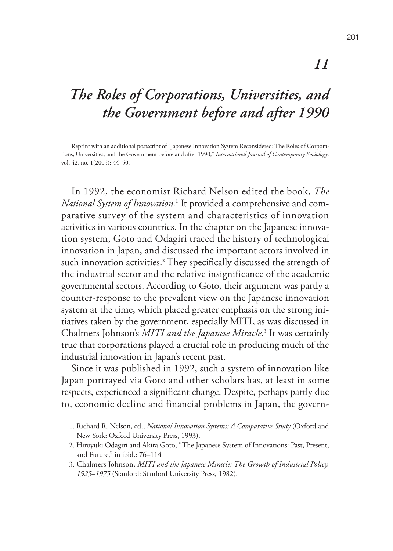## *The Roles of Corporations, Universities, and the Government before and after 1990*

Reprint with an additional postscript of "Japanese Innovation System Reconsidered: The Roles of Corporations, Universities, and the Government before and after 1990," *International Journal of Contemporary Sociology*, vol. 42, no. 1(2005): 44–50.

In 1992, the economist Richard Nelson edited the book, *The National System of Innovation.***<sup>1</sup>** It provided a comprehensive and comparative survey of the system and characteristics of innovation activities in various countries. In the chapter on the Japanese innovation system, Goto and Odagiri traced the history of technological innovation in Japan, and discussed the important actors involved in such innovation activities.**<sup>2</sup>** They specifically discussed the strength of the industrial sector and the relative insignificance of the academic governmental sectors. According to Goto, their argument was partly a counter-response to the prevalent view on the Japanese innovation system at the time, which placed greater emphasis on the strong initiatives taken by the government, especially MITI, as was discussed in Chalmers Johnson's *MITI and the Japanese Miracle.***<sup>3</sup>** It was certainly true that corporations played a crucial role in producing much of the industrial innovation in Japan's recent past.

Since it was published in 1992, such a system of innovation like Japan portrayed via Goto and other scholars has, at least in some respects, experienced a significant change. Despite, perhaps partly due to, economic decline and financial problems in Japan, the govern-

*11*

<sup>1.</sup> Richard R. Nelson, ed., *National Innovation Systems: A Comparative Study* (Oxford and New York: Oxford University Press, 1993).

<sup>2.</sup> Hiroyuki Odagiri and Akira Goto, "The Japanese System of Innovations: Past, Present, and Future," in ibid.: 76–114

<sup>3.</sup> Chalmers Johnson, *MITI and the Japanese Miracle: The Growth of Industrial Policy, 1925–1975* (Stanford: Stanford University Press, 1982).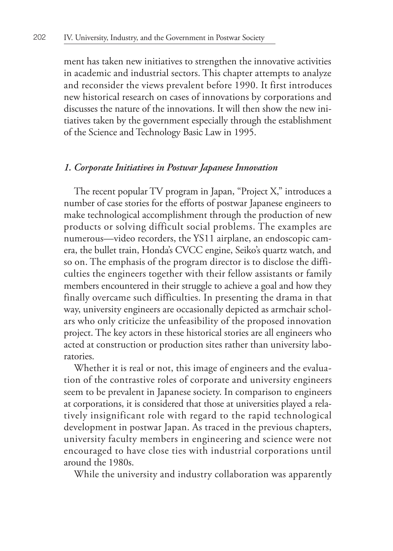ment has taken new initiatives to strengthen the innovative activities in academic and industrial sectors. This chapter attempts to analyze and reconsider the views prevalent before 1990. It first introduces new historical research on cases of innovations by corporations and discusses the nature of the innovations. It will then show the new initiatives taken by the government especially through the establishment of the Science and Technology Basic Law in 1995.

## *1. Corporate Initiatives in Postwar Japanese Innovation*

The recent popular TV program in Japan, "Project X," introduces a number of case stories for the efforts of postwar Japanese engineers to make technological accomplishment through the production of new products or solving difficult social problems. The examples are numerous—video recorders, the YS11 airplane, an endoscopic camera, the bullet train, Honda's CVCC engine, Seiko's quartz watch, and so on. The emphasis of the program director is to disclose the difficulties the engineers together with their fellow assistants or family members encountered in their struggle to achieve a goal and how they finally overcame such difficulties. In presenting the drama in that way, university engineers are occasionally depicted as armchair scholars who only criticize the unfeasibility of the proposed innovation project. The key actors in these historical stories are all engineers who acted at construction or production sites rather than university laboratories.

Whether it is real or not, this image of engineers and the evaluation of the contrastive roles of corporate and university engineers seem to be prevalent in Japanese society. In comparison to engineers at corporations, it is considered that those at universities played a relatively insignificant role with regard to the rapid technological development in postwar Japan. As traced in the previous chapters, university faculty members in engineering and science were not encouraged to have close ties with industrial corporations until around the 1980s.

While the university and industry collaboration was apparently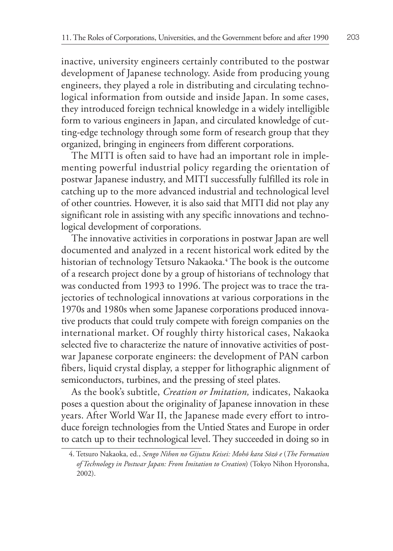inactive, university engineers certainly contributed to the postwar development of Japanese technology. Aside from producing young engineers, they played a role in distributing and circulating technological information from outside and inside Japan. In some cases, they introduced foreign technical knowledge in a widely intelligible form to various engineers in Japan, and circulated knowledge of cutting-edge technology through some form of research group that they organized, bringing in engineers from different corporations.

The MITI is often said to have had an important role in implementing powerful industrial policy regarding the orientation of postwar Japanese industry, and MITI successfully fulfilled its role in catching up to the more advanced industrial and technological level of other countries. However, it is also said that MITI did not play any significant role in assisting with any specific innovations and technological development of corporations.

The innovative activities in corporations in postwar Japan are well documented and analyzed in a recent historical work edited by the historian of technology Tetsuro Nakaoka.**<sup>4</sup>** The book is the outcome of a research project done by a group of historians of technology that was conducted from 1993 to 1996. The project was to trace the trajectories of technological innovations at various corporations in the 1970s and 1980s when some Japanese corporations produced innovative products that could truly compete with foreign companies on the international market. Of roughly thirty historical cases, Nakaoka selected five to characterize the nature of innovative activities of postwar Japanese corporate engineers: the development of PAN carbon fibers, liquid crystal display, a stepper for lithographic alignment of semiconductors, turbines, and the pressing of steel plates.

As the book's subtitle, *Creation or Imitation,* indicates, Nakaoka poses a question about the originality of Japanese innovation in these years. After World War II, the Japanese made every effort to introduce foreign technologies from the Untied States and Europe in order to catch up to their technological level. They succeeded in doing so in

<sup>4.</sup> Tetsuro Nakaoka, ed., *Sengo Nihon no Gijutsu Keisei: Mohō kara Sōzō e* (*The Formation of Technology in Postwar Japan: From Imitation to Creation*) (Tokyo Nihon Hyoronsha, 2002).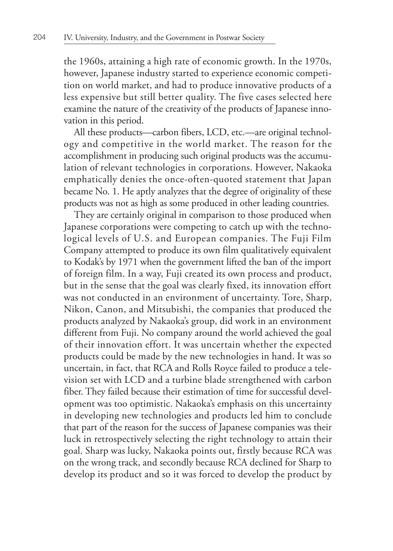the 1960s, attaining a high rate of economic growth. In the 1970s, however, Japanese industry started to experience economic competition on world market, and had to produce innovative products of a less expensive but still better quality. The five cases selected here examine the nature of the creativity of the products of Japanese innovation in this period.

All these products—carbon fibers, LCD, etc.—are original technology and competitive in the world market. The reason for the accomplishment in producing such original products was the accumulation of relevant technologies in corporations. However, Nakaoka emphatically denies the once-often-quoted statement that Japan became No. 1. He aptly analyzes that the degree of originality of these products was not as high as some produced in other leading countries.

They are certainly original in comparison to those produced when Japanese corporations were competing to catch up with the technological levels of U.S. and European companies. The Fuji Film Company attempted to produce its own film qualitatively equivalent to Kodak's by 1971 when the government lifted the ban of the import of foreign film. In a way, Fuji created its own process and product, but in the sense that the goal was clearly fixed, its innovation effort was not conducted in an environment of uncertainty. Tore, Sharp, Nikon, Canon, and Mitsubishi, the companies that produced the products analyzed by Nakaoka's group, did work in an environment different from Fuji. No company around the world achieved the goal of their innovation effort. It was uncertain whether the expected products could be made by the new technologies in hand. It was so uncertain, in fact, that RCA and Rolls Royce failed to produce a television set with LCD and a turbine blade strengthened with carbon fiber. They failed because their estimation of time for successful development was too optimistic. Nakaoka's emphasis on this uncertainty in developing new technologies and products led him to conclude that part of the reason for the success of Japanese companies was their luck in retrospectively selecting the right technology to attain their goal. Sharp was lucky, Nakaoka points out, firstly because RCA was on the wrong track, and secondly because RCA declined for Sharp to develop its product and so it was forced to develop the product by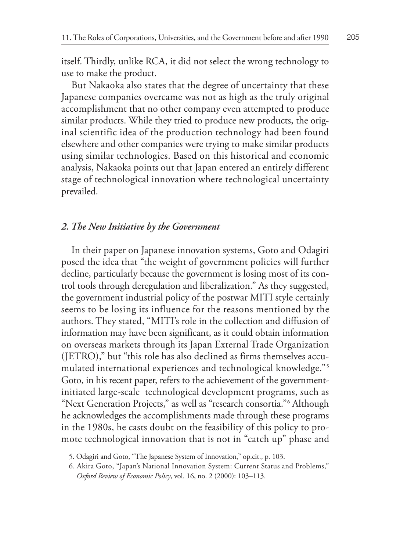itself. Thirdly, unlike RCA, it did not select the wrong technology to use to make the product.

But Nakaoka also states that the degree of uncertainty that these Japanese companies overcame was not as high as the truly original accomplishment that no other company even attempted to produce similar products. While they tried to produce new products, the original scientific idea of the production technology had been found elsewhere and other companies were trying to make similar products using similar technologies. Based on this historical and economic analysis, Nakaoka points out that Japan entered an entirely different stage of technological innovation where technological uncertainty prevailed.

## *2. The New Initiative by the Government*

In their paper on Japanese innovation systems, Goto and Odagiri posed the idea that "the weight of government policies will further decline, particularly because the government is losing most of its control tools through deregulation and liberalization." As they suggested, the government industrial policy of the postwar MITI style certainly seems to be losing its influence for the reasons mentioned by the authors. They stated, "MITI's role in the collection and diffusion of information may have been significant, as it could obtain information on overseas markets through its Japan External Trade Organization (JETRO)," but "this role has also declined as firms themselves accumulated international experiences and technological knowledge."<sup>5</sup> Goto, in his recent paper, refers to the achievement of the governmentinitiated large-scale technological development programs, such as "Next Generation Projects," as well as "research consortia."**<sup>6</sup>** Although he acknowledges the accomplishments made through these programs in the 1980s, he casts doubt on the feasibility of this policy to promote technological innovation that is not in "catch up" phase and

<sup>5.</sup> Odagiri and Goto, "The Japanese System of Innovation," op.cit., p. 103.

<sup>6.</sup> Akira Goto, "Japan's National Innovation System: Current Status and Problems," *Oxford Review of Economic Policy*, vol. 16, no. 2 (2000): 103–113.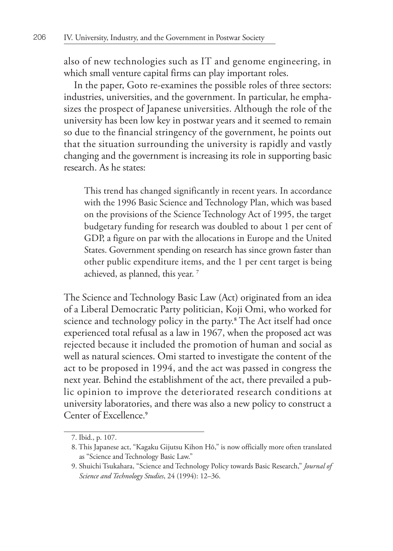also of new technologies such as IT and genome engineering, in which small venture capital firms can play important roles.

In the paper, Goto re-examines the possible roles of three sectors: industries, universities, and the government. In particular, he emphasizes the prospect of Japanese universities. Although the role of the university has been low key in postwar years and it seemed to remain so due to the financial stringency of the government, he points out that the situation surrounding the university is rapidly and vastly changing and the government is increasing its role in supporting basic research. As he states:

This trend has changed significantly in recent years. In accordance with the 1996 Basic Science and Technology Plan, which was based on the provisions of the Science Technology Act of 1995, the target budgetary funding for research was doubled to about 1 per cent of GDP, a figure on par with the allocations in Europe and the United States. Government spending on research has since grown faster than other public expenditure items, and the 1 per cent target is being achieved, as planned, this year. **<sup>7</sup>**

The Science and Technology Basic Law (Act) originated from an idea of a Liberal Democratic Party politician, Koji Omi, who worked for science and technology policy in the party.**<sup>8</sup>** The Act itself had once experienced total refusal as a law in 1967, when the proposed act was rejected because it included the promotion of human and social as well as natural sciences. Omi started to investigate the content of the act to be proposed in 1994, and the act was passed in congress the next year. Behind the establishment of the act, there prevailed a public opinion to improve the deteriorated research conditions at university laboratories, and there was also a new policy to construct a Center of Excellence.**<sup>9</sup>**

<sup>7.</sup> Ibid., p. 107.

<sup>8.</sup> This Japanese act, "Kagaku Gijutsu Kihon Hō," is now officially more often translated as "Science and Technology Basic Law."

<sup>9.</sup> Shuichi Tsukahara, "Science and Technology Policy towards Basic Research," *Journal of Science and Technology Studies*, 24 (1994): 12–36.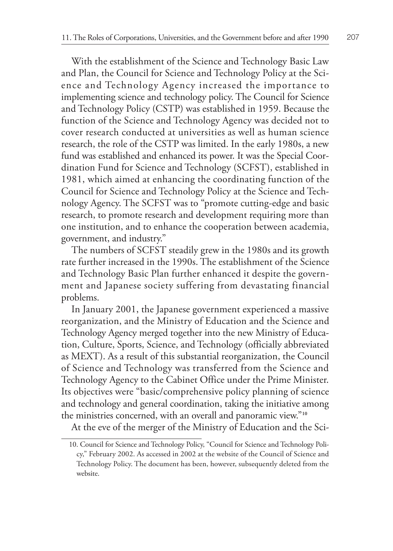With the establishment of the Science and Technology Basic Law and Plan, the Council for Science and Technology Policy at the Science and Technology Agency increased the importance to implementing science and technology policy. The Council for Science and Technology Policy (CSTP) was established in 1959. Because the function of the Science and Technology Agency was decided not to cover research conducted at universities as well as human science research, the role of the CSTP was limited. In the early 1980s, a new fund was established and enhanced its power. It was the Special Coordination Fund for Science and Technology (SCFST), established in 1981, which aimed at enhancing the coordinating function of the Council for Science and Technology Policy at the Science and Technology Agency. The SCFST was to "promote cutting-edge and basic research, to promote research and development requiring more than one institution, and to enhance the cooperation between academia, government, and industry."

The numbers of SCFST steadily grew in the 1980s and its growth rate further increased in the 1990s. The establishment of the Science and Technology Basic Plan further enhanced it despite the government and Japanese society suffering from devastating financial problems.

In January 2001, the Japanese government experienced a massive reorganization, and the Ministry of Education and the Science and Technology Agency merged together into the new Ministry of Education, Culture, Sports, Science, and Technology (officially abbreviated as MEXT). As a result of this substantial reorganization, the Council of Science and Technology was transferred from the Science and Technology Agency to the Cabinet Office under the Prime Minister. Its objectives were "basic/comprehensive policy planning of science and technology and general coordination, taking the initiative among the ministries concerned, with an overall and panoramic view."**<sup>10</sup>**

At the eve of the merger of the Ministry of Education and the Sci-

<sup>10.</sup> Council for Science and Technology Policy, "Council for Science and Technology Policy," February 2002. As accessed in 2002 at the website of the Council of Science and Technology Policy. The document has been, however, subsequently deleted from the website.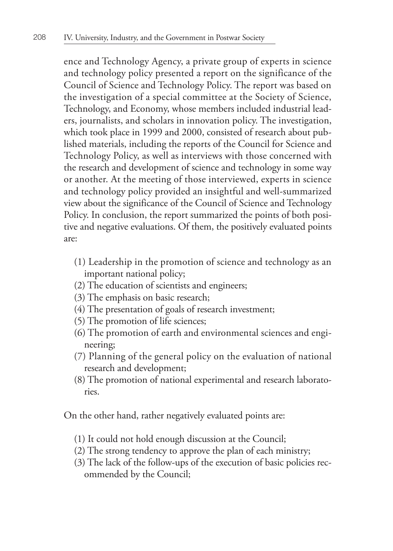ence and Technology Agency, a private group of experts in science and technology policy presented a report on the significance of the Council of Science and Technology Policy. The report was based on the investigation of a special committee at the Society of Science, Technology, and Economy, whose members included industrial leaders, journalists, and scholars in innovation policy. The investigation, which took place in 1999 and 2000, consisted of research about published materials, including the reports of the Council for Science and Technology Policy, as well as interviews with those concerned with the research and development of science and technology in some way or another. At the meeting of those interviewed, experts in science and technology policy provided an insightful and well-summarized view about the significance of the Council of Science and Technology Policy. In conclusion, the report summarized the points of both positive and negative evaluations. Of them, the positively evaluated points are:

- (1) Leadership in the promotion of science and technology as an important national policy;
- (2) The education of scientists and engineers;
- (3) The emphasis on basic research;
- (4) The presentation of goals of research investment;
- (5) The promotion of life sciences;
- (6) The promotion of earth and environmental sciences and engineering;
- (7) Planning of the general policy on the evaluation of national research and development;
- (8) The promotion of national experimental and research laboratories.

On the other hand, rather negatively evaluated points are:

- (1) It could not hold enough discussion at the Council;
- (2) The strong tendency to approve the plan of each ministry;
- (3) The lack of the follow-ups of the execution of basic policies recommended by the Council;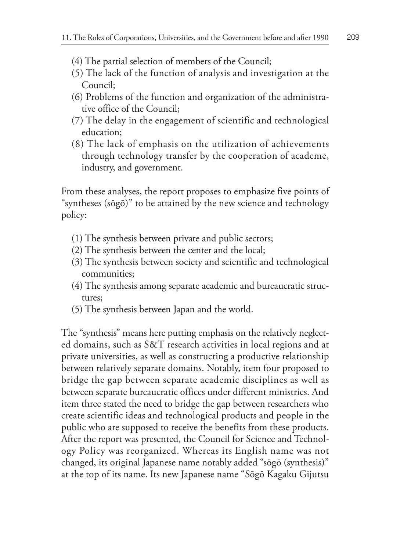- (4) The partial selection of members of the Council;
- (5) The lack of the function of analysis and investigation at the Council;
- (6) Problems of the function and organization of the administrative office of the Council;
- (7) The delay in the engagement of scientific and technological education;
- (8) The lack of emphasis on the utilization of achievements through technology transfer by the cooperation of academe, industry, and government.

From these analyses, the report proposes to emphasize five points of "syntheses (sōgō)" to be attained by the new science and technology policy:

- (1) The synthesis between private and public sectors;
- (2) The synthesis between the center and the local;
- (3) The synthesis between society and scientific and technological communities;
- (4) The synthesis among separate academic and bureaucratic structures;
- (5) The synthesis between Japan and the world.

The "synthesis" means here putting emphasis on the relatively neglected domains, such as S&T research activities in local regions and at private universities, as well as constructing a productive relationship between relatively separate domains. Notably, item four proposed to bridge the gap between separate academic disciplines as well as between separate bureaucratic offices under different ministries. And item three stated the need to bridge the gap between researchers who create scientific ideas and technological products and people in the public who are supposed to receive the benefits from these products. After the report was presented, the Council for Science and Technology Policy was reorganized. Whereas its English name was not changed, its original Japanese name notably added "sōgō (synthesis)" at the top of its name. Its new Japanese name "Sōgō Kagaku Gijutsu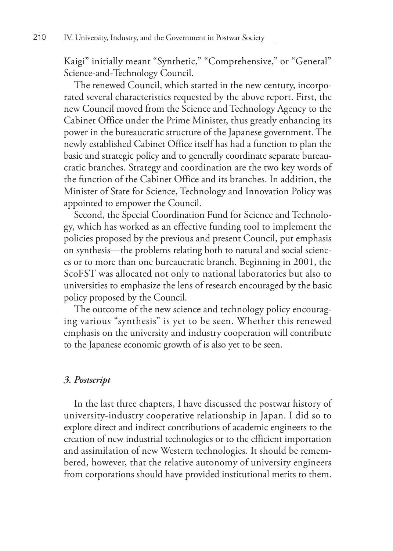Kaigi" initially meant "Synthetic," "Comprehensive," or "General" Science-and-Technology Council.

The renewed Council, which started in the new century, incorporated several characteristics requested by the above report. First, the new Council moved from the Science and Technology Agency to the Cabinet Office under the Prime Minister, thus greatly enhancing its power in the bureaucratic structure of the Japanese government. The newly established Cabinet Office itself has had a function to plan the basic and strategic policy and to generally coordinate separate bureaucratic branches. Strategy and coordination are the two key words of the function of the Cabinet Office and its branches. In addition, the Minister of State for Science, Technology and Innovation Policy was appointed to empower the Council.

Second, the Special Coordination Fund for Science and Technology, which has worked as an effective funding tool to implement the policies proposed by the previous and present Council, put emphasis on synthesis—the problems relating both to natural and social sciences or to more than one bureaucratic branch. Beginning in 2001, the ScoFST was allocated not only to national laboratories but also to universities to emphasize the lens of research encouraged by the basic policy proposed by the Council.

The outcome of the new science and technology policy encouraging various "synthesis" is yet to be seen. Whether this renewed emphasis on the university and industry cooperation will contribute to the Japanese economic growth of is also yet to be seen.

## *3. Postscript*

In the last three chapters, I have discussed the postwar history of university-industry cooperative relationship in Japan. I did so to explore direct and indirect contributions of academic engineers to the creation of new industrial technologies or to the efficient importation and assimilation of new Western technologies. It should be remembered, however, that the relative autonomy of university engineers from corporations should have provided institutional merits to them.